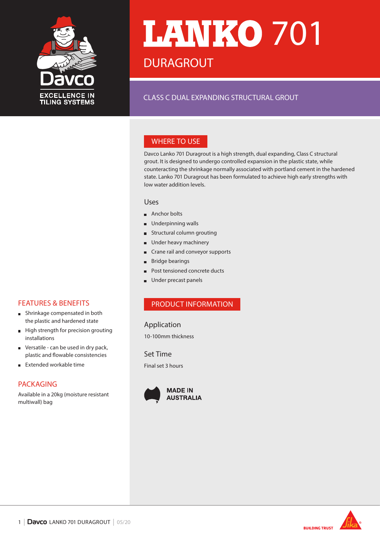

# **LANKO 701 DURAGROUT**

## CLASS C DUAL EXPANDING STRUCTURAL GROUT

## WHERE TO USE

Davco Lanko 701 Duragrout is a high strength, dual expanding, Class C structural grout. It is designed to undergo controlled expansion in the plastic state, while counteracting the shrinkage normally associated with portland cement in the hardened state. Lanko 701 Duragrout has been formulated to achieve high early strengths with low water addition levels.

#### Uses

- Anchor bolts
- **Underpinning walls**
- **Structural column grouting**
- **Under heavy machinery**
- **Crane rail and conveyor supports**
- Bridge bearings
- Post tensioned concrete ducts
- Under precast panels

## PRODUCT INFORMATION

#### Application

10-100mm thickness

Set Time Final set 3 hours





#### FEATURES & BENEFITS

- **Shrinkage compensated in both** the plastic and hardened state
- High strength for precision grouting  $\blacksquare$ installations
- Versatile can be used in dry pack,  $\blacksquare$ plastic and flowable consistencies
- Extended workable time  $\blacksquare$

## PACKAGING

Available in a 20kg (moisture resistant multiwall) bag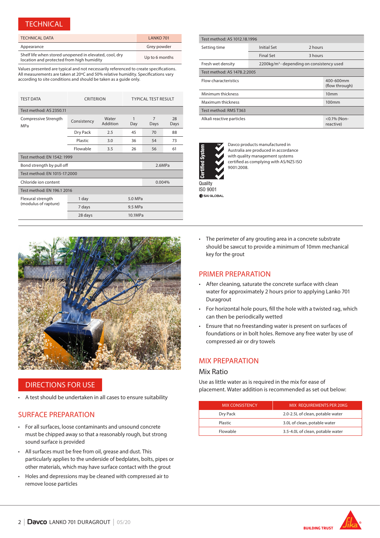#### **TECHNICAL**

| <b>TECHNICAL DATA</b>                                                                               | LANKO 701      |
|-----------------------------------------------------------------------------------------------------|----------------|
| Appearance                                                                                          | Grey powder    |
| Shelf life when stored unopened in elevated, cool, dry<br>location and protected from high humidity | Up to 6 months |

Values presented are typical and not necessarily referenced to create specifications. All measurements are taken at 20ºC and 50% relative humidity. Specifications vary according to site conditions and should be taken as a guide only.

| <b>TEST DATA</b>                          | <b>CRITERION</b>  |                   | <b>TYPICAL TEST RESULT</b> |                        |            |  |
|-------------------------------------------|-------------------|-------------------|----------------------------|------------------------|------------|--|
| Test method: AS 2350.11                   |                   |                   |                            |                        |            |  |
| Compressive Strength<br>MPa               | Consistency       | Water<br>Addition | $\mathbf{1}$<br>Day        | $\overline{7}$<br>Days | 28<br>Days |  |
|                                           | Dry Pack          | 2.5               | 45                         | 70                     | 88         |  |
|                                           | Plastic           | 3.0               | 36                         | 54                     | 73         |  |
|                                           | Flowable          | 3.5               | 26                         | 56                     | 61         |  |
| Test method: EN 1542: 1999                |                   |                   |                            |                        |            |  |
| Bond strength by pull off                 |                   |                   |                            | 2.6MPa                 |            |  |
| Test method: EN 1015-17:2000              |                   |                   |                            |                        |            |  |
| Chloride ion content                      |                   |                   | 0.004%                     |                        |            |  |
| Test method: EN 196.1 2016                |                   |                   |                            |                        |            |  |
| Flexural strength<br>(modulus of rapture) | 5.0 MPa<br>1 day  |                   |                            |                        |            |  |
|                                           | 7 days<br>9.5 MPa |                   |                            |                        |            |  |
|                                           | 28 days           |                   | 10.1MPa                    |                        |            |  |

| Test method: AS 1012.18.1996 |                    |                                                      |  |  |
|------------------------------|--------------------|------------------------------------------------------|--|--|
| Setting time                 | <b>Initial Set</b> | 2 hours                                              |  |  |
|                              | <b>Final Set</b>   | 3 hours                                              |  |  |
| Fresh wet density            |                    | 2200kg/m <sup>3</sup> -depending on consistency used |  |  |
| Test method: AS 1478.2:2005  |                    |                                                      |  |  |
| Flow characteristics         |                    | 400-600mm<br>(flow through)                          |  |  |
| Minimum thickness            |                    | 10 <sub>mm</sub>                                     |  |  |
| Maximum thickness            |                    | 100 <sub>mm</sub>                                    |  |  |
| Test method: RMS T363        |                    |                                                      |  |  |
| Alkali reactive particles    |                    | <0.1% (Non-<br>reactive)                             |  |  |



Davco products manufactured in Australia are produced in accordance with quality management systems certified as complying with AS/NZS ISO 9001:2008.

SAI GLOBAL



#### DIRECTIONS FOR USE

• A test should be undertaken in all cases to ensure suitability

#### SURFACE PREPARATION

- For all surfaces, loose contaminants and unsound concrete must be chipped away so that a reasonably rough, but strong sound surface is provided
- All surfaces must be free from oil, grease and dust. This particularly applies to the underside of bedplates, bolts, pipes or other materials, which may have surface contact with the grout
- Holes and depressions may be cleaned with compressed air to remove loose particles

• The perimeter of any grouting area in a concrete substrate should be sawcut to provide a minimum of 10mm mechanical key for the grout

## PRIMER PREPARATION

- After cleaning, saturate the concrete surface with clean water for approximately 2 hours prior to applying Lanko 701 Duragrout
- For horizontal hole pours, fill the hole with a twisted rag, which can then be periodically wetted
- Ensure that no freestanding water is present on surfaces of foundations or in bolt holes. Remove any free water by use of compressed air or dry towels

## MIX PREPARATION

#### Mix Ratio

Use as little water as is required in the mix for ease of placement. Water addition is recommended as set out below:

| <b>MIX CONSISTENCY</b> | MIX REOUIREMENTS PER 20KG        |
|------------------------|----------------------------------|
| Dry Pack               | 2.0-2.5L of clean, potable water |
| Plastic                | 3.0L of clean, potable water     |
| Flowable               | 3.5-4.0L of clean, potable water |

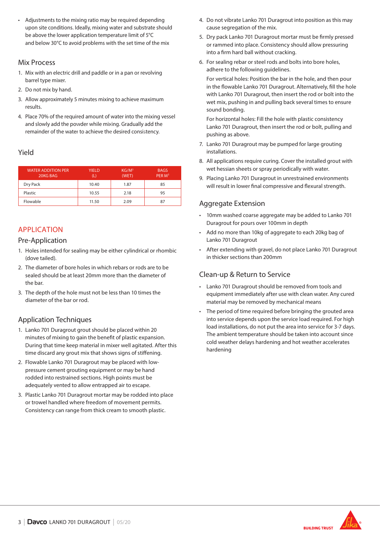• Adjustments to the mixing ratio may be required depending upon site conditions. Ideally, mixing water and substrate should be above the lower application temperature limit of 5°C and below 30°C to avoid problems with the set time of the mix

#### Mix Process

- 1. Mix with an electric drill and paddle or in a pan or revolving barrel type mixer.
- 2. Do not mix by hand.
- 3. Allow approximately 5 minutes mixing to achieve maximum results.
- 4. Place 70% of the required amount of water into the mixing vessel and slowly add the powder while mixing. Gradually add the remainder of the water to achieve the desired consistency.

#### Yield

| <b>WATER ADDITION PER</b><br>20KG BAG | <b>YIELD</b> | KG/M <sup>3</sup><br>(WET) | <b>BAGS</b><br>PER M <sup>3</sup> |
|---------------------------------------|--------------|----------------------------|-----------------------------------|
| Dry Pack                              | 10.40        | 1.87                       | 85                                |
| Plastic                               | 10.55        | 2.18                       | 95                                |
| Flowable                              | 11.50        | 2.09                       | 87                                |

## APPLICATION

#### Pre-Application

- 1. Holes intended for sealing may be either cylindrical or rhombic (dove tailed).
- 2. The diameter of bore holes in which rebars or rods are to be sealed should be at least 20mm more than the diameter of the bar.
- 3. The depth of the hole must not be less than 10 times the diameter of the bar or rod.

## Application Techniques

- 1. Lanko 701 Duragrout grout should be placed within 20 minutes of mixing to gain the benefit of plastic expansion. During that time keep material in mixer well agitated. After this time discard any grout mix that shows signs of stiffening.
- 2. Flowable Lanko 701 Duragrout may be placed with lowpressure cement grouting equipment or may be hand rodded into restrained sections. High points must be adequately vented to allow entrapped air to escape.
- 3. Plastic Lanko 701 Duragrout mortar may be rodded into place or trowel handled where freedom of movement permits. Consistency can range from thick cream to smooth plastic.
- 4. Do not vibrate Lanko 701 Duragrout into position as this may cause segregation of the mix.
- 5. Dry pack Lanko 701 Duragrout mortar must be firmly pressed or rammed into place. Consistency should allow pressuring into a firm hard ball without cracking.
- 6. For sealing rebar or steel rods and bolts into bore holes, adhere to the following guidelines.

For vertical holes: Position the bar in the hole, and then pour in the flowable Lanko 701 Duragrout. Alternatively, fill the hole with Lanko 701 Duragrout, then insert the rod or bolt into the wet mix, pushing in and pulling back several times to ensure sound bonding.

For horizontal holes: Fill the hole with plastic consistency Lanko 701 Duragrout, then insert the rod or bolt, pulling and pushing as above.

- 7. Lanko 701 Duragrout may be pumped for large grouting installations.
- 8. All applications require curing. Cover the installed grout with wet hessian sheets or spray periodically with water.
- 9. Placing Lanko 701 Duragrout in unrestrained environments will result in lower final compressive and flexural strength.

## Aggregate Extension

- 10mm washed coarse aggregate may be added to Lanko 701 Duragrout for pours over 100mm in depth
- Add no more than 10kg of aggregate to each 20kg bag of Lanko 701 Duragrout
- After extending with gravel, do not place Lanko 701 Duragrout in thicker sections than 200mm

## Clean-up & Return to Service

- Lanko 701 Duragrout should be removed from tools and equipment immediately after use with clean water. Any cured material may be removed by mechanical means
- The period of time required before bringing the grouted area into service depends upon the service load required. For high load installations, do not put the area into service for 3-7 days. The ambient temperature should be taken into account since cold weather delays hardening and hot weather accelerates hardening